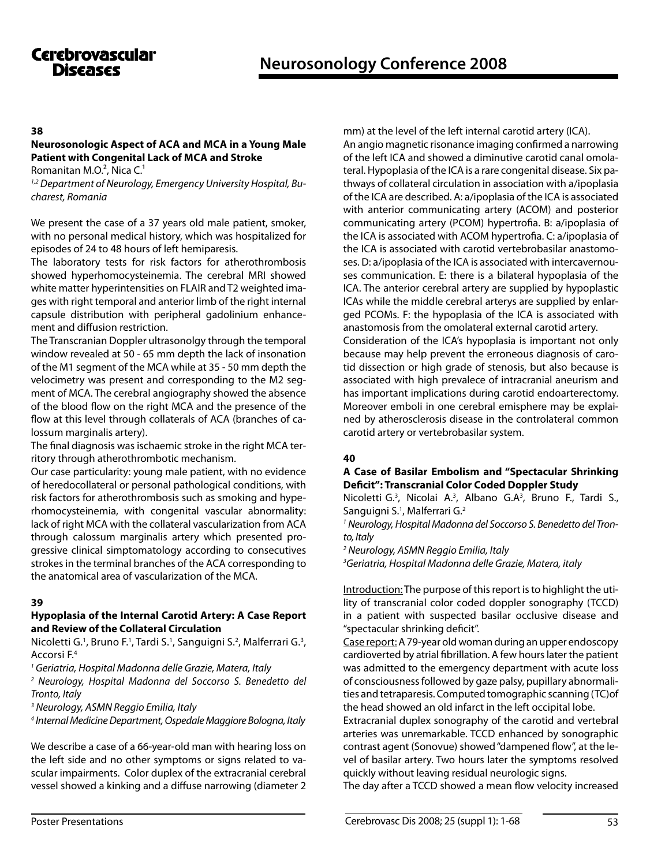### **38**

# **Neurosonologic Aspect of Aca and Mca in a Young Male Patient with Congenital Lack of Mca and Stroke**

Romanitan M.O. $2$ , Nica C. $1$ 

*1,2 Department of Neurology, Emergency University Hospital, Bucharest, Romania* 

We present the case of a 37 years old male patient, smoker, with no personal medical history, which was hospitalized for episodes of 24 to 48 hours of left hemiparesis.

The laboratory tests for risk factors for atherothrombosis showed hyperhomocysteinemia. The cerebral MRI showed white matter hyperintensities on FLAIR and T2 weighted images with right temporal and anterior limb of the right internal capsule distribution with peripheral gadolinium enhancement and diffusion restriction.

The Transcranian Doppler ultrasonolgy through the temporal window revealed at 50 - 65 mm depth the lack of insonation of the M1 segment of the MCA while at 35 - 50 mm depth the velocimetry was present and corresponding to the M2 segment of MCA. The cerebral angiography showed the absence of the blood flow on the right MCA and the presence of the flow at this level through collaterals of ACA (branches of calossum marginalis artery).

The final diagnosis was ischaemic stroke in the right MCA territory through atherothrombotic mechanism.

Our case particularity: young male patient, with no evidence of heredocollateral or personal pathological conditions, with risk factors for atherothrombosis such as smoking and hyperhomocysteinemia, with congenital vascular abnormality: lack of right MCA with the collateral vascularization from ACA through calossum marginalis artery which presented progressive clinical simptomatology according to consecutives strokes in the terminal branches of the ACA corresponding to the anatomical area of vascularization of the MCA.

### **39**

### **Hypoplasia of the Internal Carotid Artery: A Case Report and Review of the Collateral Circulation**

Nicoletti G.<sup>1</sup>, Bruno F.<sup>1</sup>, Tardi S.<sup>1</sup>, Sanguigni S.<sup>2</sup>, Malferrari G.<sup>3</sup>, Accorsi F.4

*<sup>1</sup> Geriatria, Hospital Madonna delle Grazie, Matera, Italy* 

*2 Neurology, Hospital Madonna del Soccorso S. Benedetto del Tronto, Italy*

*3 Neurology, ASMN Reggio Emilia, Italy* 

*4 Internal Medicine Department, Ospedale Maggiore Bologna, Italy* 

We describe a case of a 66-year-old man with hearing loss on the left side and no other symptoms or signs related to vascular impairments. Color duplex of the extracranial cerebral vessel showed a kinking and a diffuse narrowing (diameter 2 mm) at the level of the left internal carotid artery (ICA).

An angio magnetic risonance imaging confirmed a narrowing of the left ICA and showed a diminutive carotid canal omolateral. Hypoplasia of the ICA is a rare congenital disease. Six pathways of collateral circulation in association with a/ipoplasia of the ICA are described. A: a/ipoplasia of the ICA is associated with anterior communicating artery (ACOM) and posterior communicating artery (PCOM) hypertrofia. B: a/ipoplasia of the ICA is associated with ACOM hypertrofia. C: a/ipoplasia of the ICA is associated with carotid vertebrobasilar anastomoses. D: a/ipoplasia of the ICA is associated with intercavernouses communication. E: there is a bilateral hypoplasia of the ICA. The anterior cerebral artery are supplied by hypoplastic ICAs while the middle cerebral arterys are supplied by enlarged PCOMs. F: the hypoplasia of the ICA is associated with anastomosis from the omolateral external carotid artery. Consideration of the ICA's hypoplasia is important not only because may help prevent the erroneous diagnosis of carotid dissection or high grade of stenosis, but also because is associated with high prevalece of intracranial aneurism and has important implications during carotid endoarterectomy. Moreover emboli in one cerebral emisphere may be explai-

## **40**

## **A Case of Basilar Embolism and "Spectacular Shrinking Deficit": Transcranial Color Coded Doppler Study**

ned by atherosclerosis disease in the controlateral common

Nicoletti G.<sup>3</sup>, Nicolai A.<sup>3</sup>, Albano G.A<sup>3</sup>, Bruno F., Tardi S., Sanguigni S.<sup>1</sup>, Malferrari G.<sup>2</sup>

*1 Neurology, Hospital Madonna del Soccorso S. Benedetto del Tronto, Italy*

*2 Neurology, ASMN Reggio Emilia, Italy*

carotid artery or vertebrobasilar system.

*3 Geriatria, Hospital Madonna delle Grazie, Matera, italy* 

Introduction: The purpose of this report is to highlight the utility of transcranial color coded doppler sonography (TCCD) in a patient with suspected basilar occlusive disease and "spectacular shrinking deficit".

Case report: A 79-year old woman during an upper endoscopy cardioverted by atrial fibrillation. A few hours later the patient was admitted to the emergency department with acute loss of consciousness followed by gaze palsy, pupillary abnormalities and tetraparesis. Computed tomographic scanning (TC)of the head showed an old infarct in the left occipital lobe.

Extracranial duplex sonography of the carotid and vertebral arteries was unremarkable. TCCD enhanced by sonographic contrast agent (Sonovue) showed "dampened flow", at the level of basilar artery. Two hours later the symptoms resolved quickly without leaving residual neurologic signs.

The day after a TCCD showed a mean flow velocity increased